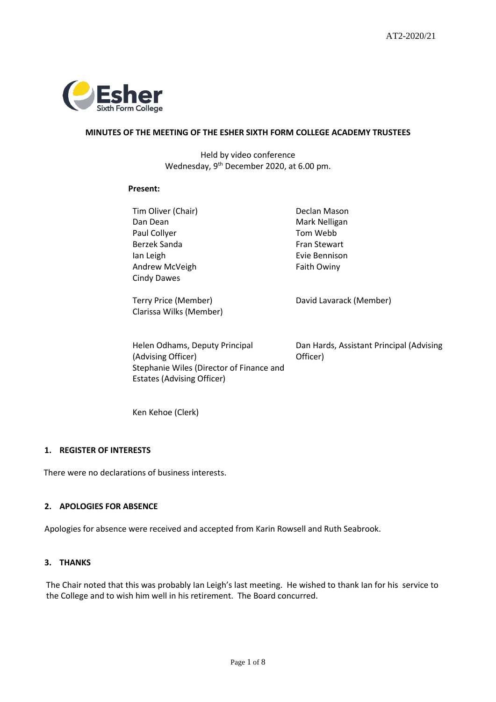

## **MINUTES OF THE MEETING OF THE ESHER SIXTH FORM COLLEGE ACADEMY TRUSTEES**

Held by video conference Wednesday, 9<sup>th</sup> December 2020, at 6.00 pm.

#### **Present:**

Tim Oliver (Chair) **Declan Mason** Dan Dean Mark Nelligan Paul Collyer **No. 2018** Tom Webb Berzek Sanda Fran Stewart Ian Leigh Andrew McVeigh Cindy Dawes

Terry Price (Member) Clarissa Wilks (Member)

Helen Odhams, Deputy Principal (Advising Officer) Stephanie Wiles (Director of Finance and Estates (Advising Officer)

Evie Bennison Faith Owiny

David Lavarack (Member)

Dan Hards, Assistant Principal (Advising Officer)

Ken Kehoe (Clerk)

## **1. REGISTER OF INTERESTS**

There were no declarations of business interests.

# **2. APOLOGIES FOR ABSENCE**

Apologies for absence were received and accepted from Karin Rowsell and Ruth Seabrook.

## **3. THANKS**

The Chair noted that this was probably Ian Leigh's last meeting. He wished to thank Ian for his service to the College and to wish him well in his retirement. The Board concurred.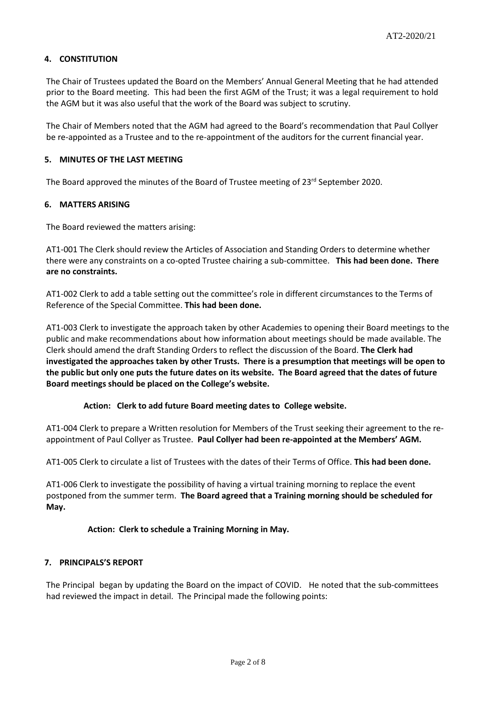# **4. CONSTITUTION**

The Chair of Trustees updated the Board on the Members' Annual General Meeting that he had attended prior to the Board meeting. This had been the first AGM of the Trust; it was a legal requirement to hold the AGM but it was also useful that the work of the Board was subject to scrutiny.

The Chair of Members noted that the AGM had agreed to the Board's recommendation that Paul Collyer be re-appointed as a Trustee and to the re-appointment of the auditors for the current financial year.

#### **5. MINUTES OF THE LAST MEETING**

The Board approved the minutes of the Board of Trustee meeting of  $23^{rd}$  September 2020.

## **6. MATTERS ARISING**

The Board reviewed the matters arising:

AT1-001 The Clerk should review the Articles of Association and Standing Orders to determine whether there were any constraints on a co-opted Trustee chairing a sub-committee. **This had been done. There are no constraints.**

AT1-002 Clerk to add a table setting out the committee's role in different circumstances to the Terms of Reference of the Special Committee. **This had been done.**

AT1-003 Clerk to investigate the approach taken by other Academies to opening their Board meetings to the public and make recommendations about how information about meetings should be made available. The Clerk should amend the draft Standing Orders to reflect the discussion of the Board. **The Clerk had investigated the approaches taken by other Trusts. There is a presumption that meetings will be open to the public but only one puts the future dates on its website. The Board agreed that the dates of future Board meetings should be placed on the College's website.**

#### **Action: Clerk to add future Board meeting dates to College website.**

AT1-004 Clerk to prepare a Written resolution for Members of the Trust seeking their agreement to the reappointment of Paul Collyer as Trustee. **Paul Collyer had been re-appointed at the Members' AGM.**

AT1-005 Clerk to circulate a list of Trustees with the dates of their Terms of Office. **This had been done.**

AT1-006 Clerk to investigate the possibility of having a virtual training morning to replace the event postponed from the summer term. **The Board agreed that a Training morning should be scheduled for May.** 

## **Action: Clerk to schedule a Training Morning in May.**

## **7. PRINCIPALS'S REPORT**

The Principal began by updating the Board on the impact of COVID. He noted that the sub-committees had reviewed the impact in detail. The Principal made the following points: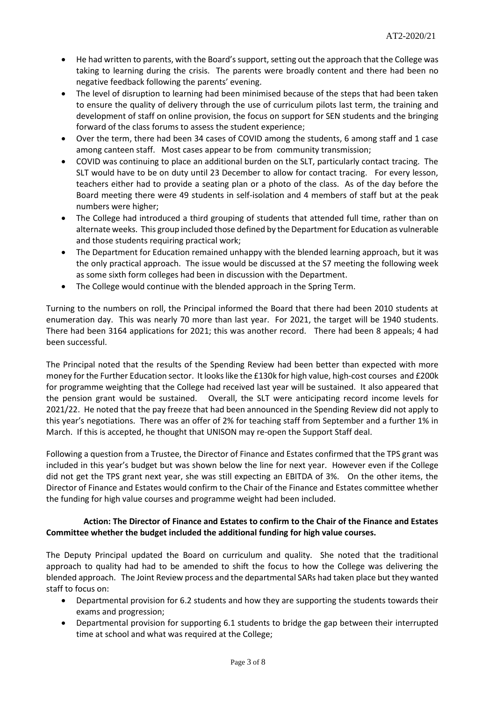- He had written to parents, with the Board's support, setting out the approach that the College was taking to learning during the crisis. The parents were broadly content and there had been no negative feedback following the parents' evening.
- The level of disruption to learning had been minimised because of the steps that had been taken to ensure the quality of delivery through the use of curriculum pilots last term, the training and development of staff on online provision, the focus on support for SEN students and the bringing forward of the class forums to assess the student experience;
- Over the term, there had been 34 cases of COVID among the students, 6 among staff and 1 case among canteen staff. Most cases appear to be from community transmission;
- COVID was continuing to place an additional burden on the SLT, particularly contact tracing. The SLT would have to be on duty until 23 December to allow for contact tracing. For every lesson, teachers either had to provide a seating plan or a photo of the class. As of the day before the Board meeting there were 49 students in self-isolation and 4 members of staff but at the peak numbers were higher;
- The College had introduced a third grouping of students that attended full time, rather than on alternate weeks. This group included those defined by the Department for Education as vulnerable and those students requiring practical work;
- The Department for Education remained unhappy with the blended learning approach, but it was the only practical approach. The issue would be discussed at the S7 meeting the following week as some sixth form colleges had been in discussion with the Department.
- The College would continue with the blended approach in the Spring Term.

Turning to the numbers on roll, the Principal informed the Board that there had been 2010 students at enumeration day. This was nearly 70 more than last year. For 2021, the target will be 1940 students. There had been 3164 applications for 2021; this was another record. There had been 8 appeals; 4 had been successful.

The Principal noted that the results of the Spending Review had been better than expected with more money for the Further Education sector. It looks like the £130k for high value, high-cost courses and £200k for programme weighting that the College had received last year will be sustained. It also appeared that the pension grant would be sustained. Overall, the SLT were anticipating record income levels for 2021/22. He noted that the pay freeze that had been announced in the Spending Review did not apply to this year's negotiations. There was an offer of 2% for teaching staff from September and a further 1% in March. If this is accepted, he thought that UNISON may re-open the Support Staff deal.

Following a question from a Trustee, the Director of Finance and Estates confirmed that the TPS grant was included in this year's budget but was shown below the line for next year. However even if the College did not get the TPS grant next year, she was still expecting an EBITDA of 3%. On the other items, the Director of Finance and Estates would confirm to the Chair of the Finance and Estates committee whether the funding for high value courses and programme weight had been included.

# **Action: The Director of Finance and Estates to confirm to the Chair of the Finance and Estates Committee whether the budget included the additional funding for high value courses.**

The Deputy Principal updated the Board on curriculum and quality. She noted that the traditional approach to quality had had to be amended to shift the focus to how the College was delivering the blended approach. The Joint Review process and the departmental SARs had taken place but they wanted staff to focus on:

- Departmental provision for 6.2 students and how they are supporting the students towards their exams and progression;
- Departmental provision for supporting 6.1 students to bridge the gap between their interrupted time at school and what was required at the College;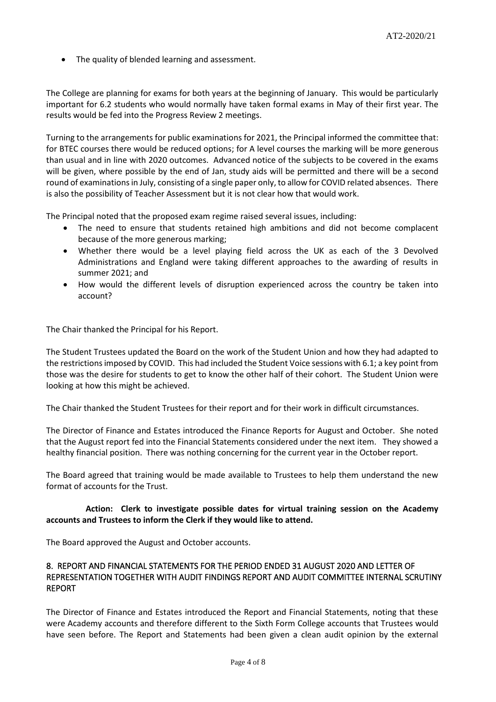• The quality of blended learning and assessment.

The College are planning for exams for both years at the beginning of January. This would be particularly important for 6.2 students who would normally have taken formal exams in May of their first year. The results would be fed into the Progress Review 2 meetings.

Turning to the arrangements for public examinations for 2021, the Principal informed the committee that: for BTEC courses there would be reduced options; for A level courses the marking will be more generous than usual and in line with 2020 outcomes. Advanced notice of the subjects to be covered in the exams will be given, where possible by the end of Jan, study aids will be permitted and there will be a second round of examinations in July, consisting of a single paper only, to allow for COVID related absences. There is also the possibility of Teacher Assessment but it is not clear how that would work.

The Principal noted that the proposed exam regime raised several issues, including:

- The need to ensure that students retained high ambitions and did not become complacent because of the more generous marking;
- Whether there would be a level playing field across the UK as each of the 3 Devolved Administrations and England were taking different approaches to the awarding of results in summer 2021; and
- How would the different levels of disruption experienced across the country be taken into account?

The Chair thanked the Principal for his Report.

The Student Trustees updated the Board on the work of the Student Union and how they had adapted to the restrictions imposed by COVID. This had included the Student Voice sessions with 6.1; a key point from those was the desire for students to get to know the other half of their cohort. The Student Union were looking at how this might be achieved.

The Chair thanked the Student Trustees for their report and for their work in difficult circumstances.

The Director of Finance and Estates introduced the Finance Reports for August and October. She noted that the August report fed into the Financial Statements considered under the next item. They showed a healthy financial position. There was nothing concerning for the current year in the October report.

The Board agreed that training would be made available to Trustees to help them understand the new format of accounts for the Trust.

## **Action: Clerk to investigate possible dates for virtual training session on the Academy accounts and Trustees to inform the Clerk if they would like to attend.**

The Board approved the August and October accounts.

# 8. REPORT AND FINANCIAL STATEMENTS FOR THE PERIOD ENDED 31 AUGUST 2020 AND LETTER OF REPRESENTATION TOGETHER WITH AUDIT FINDINGS REPORT AND AUDIT COMMITTEE INTERNAL SCRUTINY REPORT

The Director of Finance and Estates introduced the Report and Financial Statements, noting that these were Academy accounts and therefore different to the Sixth Form College accounts that Trustees would have seen before. The Report and Statements had been given a clean audit opinion by the external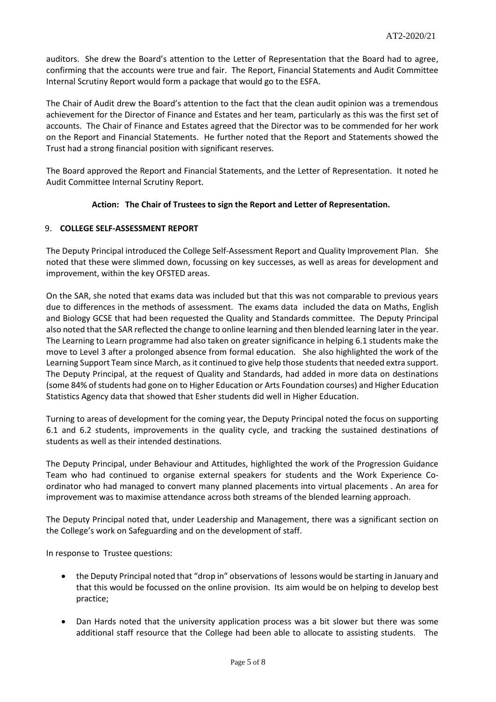auditors. She drew the Board's attention to the Letter of Representation that the Board had to agree, confirming that the accounts were true and fair. The Report, Financial Statements and Audit Committee Internal Scrutiny Report would form a package that would go to the ESFA.

The Chair of Audit drew the Board's attention to the fact that the clean audit opinion was a tremendous achievement for the Director of Finance and Estates and her team, particularly as this was the first set of accounts. The Chair of Finance and Estates agreed that the Director was to be commended for her work on the Report and Financial Statements. He further noted that the Report and Statements showed the Trust had a strong financial position with significant reserves.

The Board approved the Report and Financial Statements, and the Letter of Representation. It noted he Audit Committee Internal Scrutiny Report.

# **Action: The Chair of Trustees to sign the Report and Letter of Representation.**

# 9. **COLLEGE SELF-ASSESSMENT REPORT**

The Deputy Principal introduced the College Self-Assessment Report and Quality Improvement Plan. She noted that these were slimmed down, focussing on key successes, as well as areas for development and improvement, within the key OFSTED areas.

On the SAR, she noted that exams data was included but that this was not comparable to previous years due to differences in the methods of assessment. The exams data included the data on Maths, English and Biology GCSE that had been requested the Quality and Standards committee. The Deputy Principal also noted that the SAR reflected the change to online learning and then blended learning later in the year. The Learning to Learn programme had also taken on greater significance in helping 6.1 students make the move to Level 3 after a prolonged absence from formal education. She also highlighted the work of the Learning Support Team since March, as it continued to give help those students that needed extra support. The Deputy Principal, at the request of Quality and Standards, had added in more data on destinations (some 84% of students had gone on to Higher Education or Arts Foundation courses) and Higher Education Statistics Agency data that showed that Esher students did well in Higher Education.

Turning to areas of development for the coming year, the Deputy Principal noted the focus on supporting 6.1 and 6.2 students, improvements in the quality cycle, and tracking the sustained destinations of students as well as their intended destinations.

The Deputy Principal, under Behaviour and Attitudes, highlighted the work of the Progression Guidance Team who had continued to organise external speakers for students and the Work Experience Coordinator who had managed to convert many planned placements into virtual placements . An area for improvement was to maximise attendance across both streams of the blended learning approach.

The Deputy Principal noted that, under Leadership and Management, there was a significant section on the College's work on Safeguarding and on the development of staff.

In response to Trustee questions:

- the Deputy Principal noted that "drop in" observations of lessons would be starting in January and that this would be focussed on the online provision. Its aim would be on helping to develop best practice;
- Dan Hards noted that the university application process was a bit slower but there was some additional staff resource that the College had been able to allocate to assisting students. The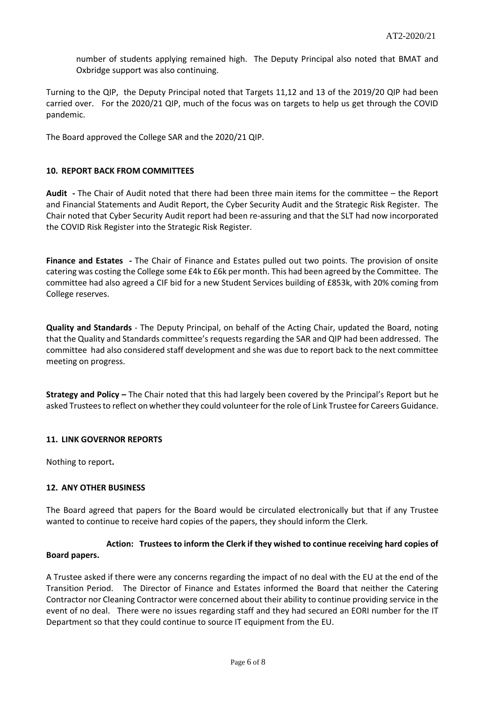number of students applying remained high. The Deputy Principal also noted that BMAT and Oxbridge support was also continuing.

Turning to the QIP, the Deputy Principal noted that Targets 11,12 and 13 of the 2019/20 QIP had been carried over. For the 2020/21 QIP, much of the focus was on targets to help us get through the COVID pandemic.

The Board approved the College SAR and the 2020/21 QIP.

#### **10. REPORT BACK FROM COMMITTEES**

**Audit -** The Chair of Audit noted that there had been three main items for the committee – the Report and Financial Statements and Audit Report, the Cyber Security Audit and the Strategic Risk Register. The Chair noted that Cyber Security Audit report had been re-assuring and that the SLT had now incorporated the COVID Risk Register into the Strategic Risk Register.

**Finance and Estates -** The Chair of Finance and Estates pulled out two points. The provision of onsite catering was costing the College some £4k to £6k per month. This had been agreed by the Committee. The committee had also agreed a CIF bid for a new Student Services building of £853k, with 20% coming from College reserves.

**Quality and Standards** - The Deputy Principal, on behalf of the Acting Chair, updated the Board, noting that the Quality and Standards committee's requests regarding the SAR and QIP had been addressed. The committee had also considered staff development and she was due to report back to the next committee meeting on progress.

**Strategy and Policy –** The Chair noted that this had largely been covered by the Principal's Report but he asked Trustees to reflect on whether they could volunteer for the role of Link Trustee for Careers Guidance.

#### **11. LINK GOVERNOR REPORTS**

Nothing to report**.**

#### **12. ANY OTHER BUSINESS**

The Board agreed that papers for the Board would be circulated electronically but that if any Trustee wanted to continue to receive hard copies of the papers, they should inform the Clerk.

# **Action: Trustees to inform the Clerk if they wished to continue receiving hard copies of Board papers.**

A Trustee asked if there were any concerns regarding the impact of no deal with the EU at the end of the Transition Period. The Director of Finance and Estates informed the Board that neither the Catering Contractor nor Cleaning Contractor were concerned about their ability to continue providing service in the event of no deal. There were no issues regarding staff and they had secured an EORI number for the IT Department so that they could continue to source IT equipment from the EU.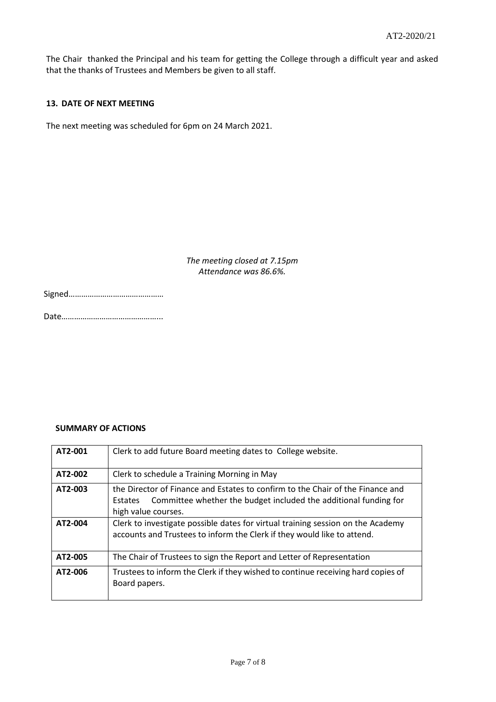The Chair thanked the Principal and his team for getting the College through a difficult year and asked that the thanks of Trustees and Members be given to all staff.

#### **13. DATE OF NEXT MEETING**

The next meeting was scheduled for 6pm on 24 March 2021.

*The meeting closed at 7.15pm Attendance was 86.6%.*

|--|--|

Date………………………………………...

## **SUMMARY OF ACTIONS**

| AT2-001 | Clerk to add future Board meeting dates to College website.                                                                                                                          |  |  |
|---------|--------------------------------------------------------------------------------------------------------------------------------------------------------------------------------------|--|--|
| AT2-002 | Clerk to schedule a Training Morning in May                                                                                                                                          |  |  |
| AT2-003 | the Director of Finance and Estates to confirm to the Chair of the Finance and<br>Committee whether the budget included the additional funding for<br>Estates<br>high value courses. |  |  |
| AT2-004 | Clerk to investigate possible dates for virtual training session on the Academy<br>accounts and Trustees to inform the Clerk if they would like to attend.                           |  |  |
| AT2-005 | The Chair of Trustees to sign the Report and Letter of Representation                                                                                                                |  |  |
| AT2-006 | Trustees to inform the Clerk if they wished to continue receiving hard copies of<br>Board papers.                                                                                    |  |  |